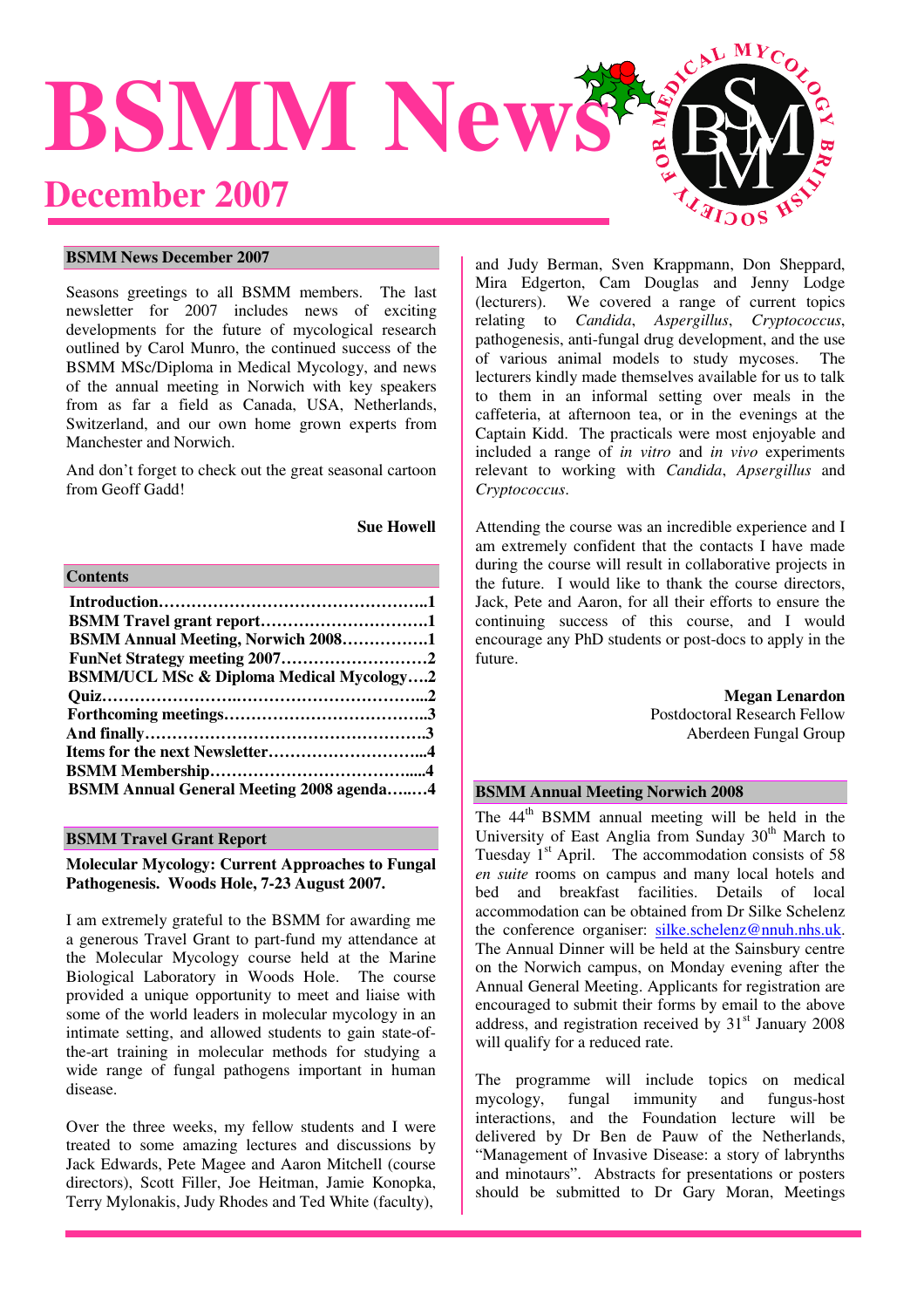

#### **BSMM News December 2007**

Seasons greetings to all BSMM members. The last newsletter for 2007 includes news of exciting developments for the future of mycological research outlined by Carol Munro, the continued success of the BSMM MSc/Diploma in Medical Mycology, and news of the annual meeting in Norwich with key speakers from as far a field as Canada, USA, Netherlands, Switzerland, and our own home grown experts from Manchester and Norwich.

And don't forget to check out the great seasonal cartoon from Geoff Gadd!

**Sue Howell** 

## **Contents**

| <b>BSMM Annual Meeting, Norwich 20081</b>           |  |
|-----------------------------------------------------|--|
| FunNet Strategy meeting 20072                       |  |
| <b>BSMM/UCL MSc &amp; Diploma Medical Mycology2</b> |  |
|                                                     |  |
|                                                     |  |
|                                                     |  |
|                                                     |  |
|                                                     |  |
| <b>BSMM Annual General Meeting 2008 agenda4</b>     |  |

# **BSMM Travel Grant Report**

**Molecular Mycology: Current Approaches to Fungal Pathogenesis. Woods Hole, 7-23 August 2007.** 

I am extremely grateful to the BSMM for awarding me a generous Travel Grant to part-fund my attendance at the Molecular Mycology course held at the Marine Biological Laboratory in Woods Hole. The course provided a unique opportunity to meet and liaise with some of the world leaders in molecular mycology in an intimate setting, and allowed students to gain state-ofthe-art training in molecular methods for studying a wide range of fungal pathogens important in human disease.

Over the three weeks, my fellow students and I were treated to some amazing lectures and discussions by Jack Edwards, Pete Magee and Aaron Mitchell (course directors), Scott Filler, Joe Heitman, Jamie Konopka, Terry Mylonakis, Judy Rhodes and Ted White (faculty),

and Judy Berman, Sven Krappmann, Don Sheppard, Mira Edgerton, Cam Douglas and Jenny Lodge (lecturers). We covered a range of current topics relating to *Candida*, *Aspergillus*, *Cryptococcus*, pathogenesis, anti-fungal drug development, and the use of various animal models to study mycoses. The lecturers kindly made themselves available for us to talk to them in an informal setting over meals in the caffeteria, at afternoon tea, or in the evenings at the Captain Kidd. The practicals were most enjoyable and included a range of *in vitro* and *in vivo* experiments relevant to working with *Candida*, *Apsergillus* and *Cryptococcus*.

Attending the course was an incredible experience and I am extremely confident that the contacts I have made during the course will result in collaborative projects in the future. I would like to thank the course directors, Jack, Pete and Aaron, for all their efforts to ensure the continuing success of this course, and I would encourage any PhD students or post-docs to apply in the future.

> **Megan Lenardon**  Postdoctoral Research Fellow Aberdeen Fungal Group

## **BSMM Annual Meeting Norwich 2008**

The 44<sup>th</sup> BSMM annual meeting will be held in the University of East Anglia from Sunday  $30<sup>th</sup>$  March to Tuesday  $1<sup>st</sup>$  April. The accommodation consists of 58 *en suite* rooms on campus and many local hotels and bed and breakfast facilities. Details of local accommodation can be obtained from Dr Silke Schelenz the conference organiser: silke.schelenz@nnuh.nhs.uk. The Annual Dinner will be held at the Sainsbury centre on the Norwich campus, on Monday evening after the Annual General Meeting. Applicants for registration are encouraged to submit their forms by email to the above address, and registration received by  $31<sup>st</sup>$  January 2008 will qualify for a reduced rate.

The programme will include topics on medical mycology, fungal immunity and fungus-host interactions, and the Foundation lecture will be delivered by Dr Ben de Pauw of the Netherlands, "Management of Invasive Disease: a story of labrynths and minotaurs". Abstracts for presentations or posters should be submitted to Dr Gary Moran, Meetings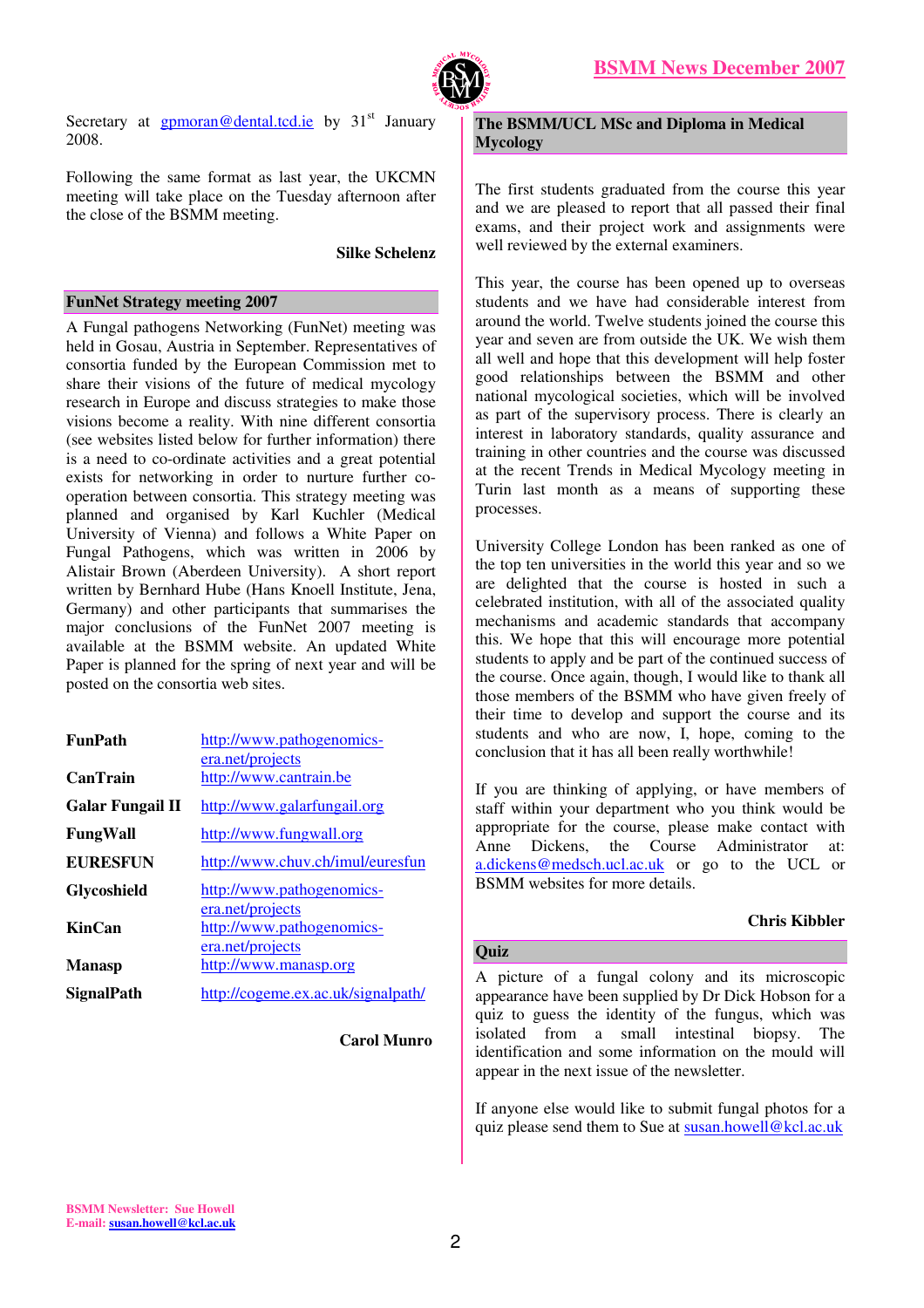

Secretary at  $g$ pmoran@dental.tcd.ie by 31<sup>st</sup> January 2008.

Following the same format as last year, the UKCMN meeting will take place on the Tuesday afternoon after the close of the BSMM meeting.

#### **Silke Schelenz**

## **FunNet Strategy meeting 2007**

A Fungal pathogens Networking (FunNet) meeting was held in Gosau, Austria in September. Representatives of consortia funded by the European Commission met to share their visions of the future of medical mycology research in Europe and discuss strategies to make those visions become a reality. With nine different consortia (see websites listed below for further information) there is a need to co-ordinate activities and a great potential exists for networking in order to nurture further cooperation between consortia. This strategy meeting was planned and organised by Karl Kuchler (Medical University of Vienna) and follows a White Paper on Fungal Pathogens, which was written in 2006 by Alistair Brown (Aberdeen University). A short report written by Bernhard Hube (Hans Knoell Institute, Jena, Germany) and other participants that summarises the major conclusions of the FunNet 2007 meeting is available at the BSMM website. An updated White Paper is planned for the spring of next year and will be posted on the consortia web sites.

| <b>FunPath</b>          | http://www.pathogenomics-<br>era.net/projects                     |
|-------------------------|-------------------------------------------------------------------|
| <b>CanTrain</b>         | http://www.cantrain.be                                            |
| <b>Galar Fungail II</b> | http://www.galarfungail.org                                       |
| FungWall                | http://www.fungwall.org                                           |
| <b>EURESFUN</b>         | http://www.chuv.ch/imul/euresfun                                  |
| Glycoshield             | http://www.pathogenomics-                                         |
| <b>KinCan</b>           | era.net/projects<br>http://www.pathogenomics-<br>era.net/projects |
| <b>Manasp</b>           | http://www.manasp.org                                             |
| SignalPath              | http://cogeme.ex.ac.uk/signalpath/                                |

**Carol Munro** 

**The BSMM/UCL MSc and Diploma in Medical Mycology** 

The first students graduated from the course this year and we are pleased to report that all passed their final exams, and their project work and assignments were well reviewed by the external examiners.

This year, the course has been opened up to overseas students and we have had considerable interest from around the world. Twelve students joined the course this year and seven are from outside the UK. We wish them all well and hope that this development will help foster good relationships between the BSMM and other national mycological societies, which will be involved as part of the supervisory process. There is clearly an interest in laboratory standards, quality assurance and training in other countries and the course was discussed at the recent Trends in Medical Mycology meeting in Turin last month as a means of supporting these processes.

University College London has been ranked as one of the top ten universities in the world this year and so we are delighted that the course is hosted in such a celebrated institution, with all of the associated quality mechanisms and academic standards that accompany this. We hope that this will encourage more potential students to apply and be part of the continued success of the course. Once again, though, I would like to thank all those members of the BSMM who have given freely of their time to develop and support the course and its students and who are now, I, hope, coming to the conclusion that it has all been really worthwhile!

If you are thinking of applying, or have members of staff within your department who you think would be appropriate for the course, please make contact with Anne Dickens, the Course Administrator at: a.dickens@medsch.ucl.ac.uk or go to the UCL or BSMM websites for more details.

# **Chris Kibbler**

# **Quiz**

A picture of a fungal colony and its microscopic appearance have been supplied by Dr Dick Hobson for a quiz to guess the identity of the fungus, which was isolated from a small intestinal biopsy. The identification and some information on the mould will appear in the next issue of the newsletter.

If anyone else would like to submit fungal photos for a quiz please send them to Sue at susan.howell@kcl.ac.uk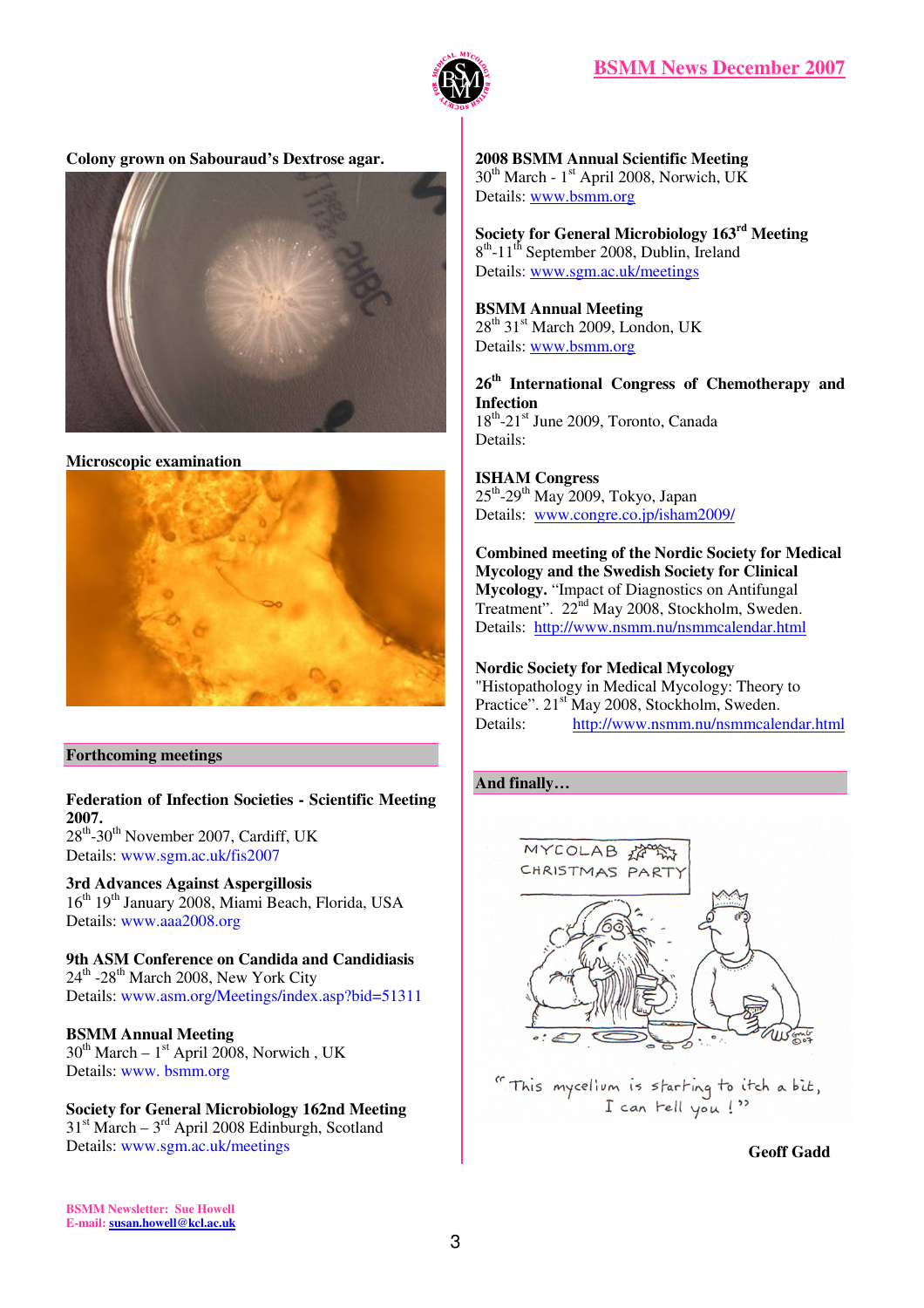

# **Colony grown on Sabouraud's Dextrose agar.**



#### **Microscopic examination**



# **Forthcoming meetings**

**Federation of Infection Societies - Scientific Meeting 2007.**  28th-30th November 2007, Cardiff, UK Details: www.sgm.ac.uk/fis2007

**3rd Advances Against Aspergillosis**  16<sup>th</sup> 19<sup>th</sup> January 2008, Miami Beach, Florida, USA Details: www.aaa2008.org

**9th ASM Conference on Candida and Candidiasis**   $24<sup>th</sup>$  -28<sup>th</sup> March 2008, New York City Details: www.asm.org/Meetings/index.asp?bid=51311

#### **BSMM Annual Meeting**   $30^{th}$  March –  $1^{st}$  April 2008, Norwich, UK Details: www. bsmm.org

**Society for General Microbiology 162nd Meeting**   $31<sup>st</sup> March - 3<sup>rd</sup> April 2008 Edinburgh, Scotland$ Details: www.sgm.ac.uk/meetings

**2008 BSMM Annual Scientific Meeting**   $30<sup>th</sup>$  March - 1<sup>st</sup> April 2008, Norwich, UK Details: www.bsmm.org

**Society for General Microbiology 163rd Meeting**  8<sup>th</sup>-11<sup>th</sup> September 2008, Dublin, Ireland Details: www.sgm.ac.uk/meetings

# **BSMM Annual Meeting**

 $28^{th}$  31<sup>st</sup> March 2009, London, UK Details: www.bsmm.org

**26th International Congress of Chemotherapy and Infection**   $18^{th}$ -21<sup>st</sup> June 2009, Toronto, Canada Details:

**ISHAM Congress**   $25<sup>th</sup>$ -29<sup>th</sup> May 2009, Tokyo, Japan Details: www.congre.co.jp/isham2009/

**Combined meeting of the Nordic Society for Medical Mycology and the Swedish Society for Clinical Mycology.** "Impact of Diagnostics on Antifungal Treatment". 22<sup>nd</sup> May 2008, Stockholm, Sweden. Details: http://www.nsmm.nu/nsmmcalendar.html

# **Nordic Society for Medical Mycology**

"Histopathology in Medical Mycology: Theory to Practice". 21<sup>st</sup> May 2008, Stockholm, Sweden.<br>Details: http://www.nsmm.nu/nsmmcaler http://www.nsmm.nu/nsmmcalendar.html

# **And finally…**



" This mycellum is starting to itch a bit, I can tell you!"

 **Geoff Gadd** 

**BSMM Newsletter: Sue Howell E-mail: susan.howell@kcl.ac.uk**